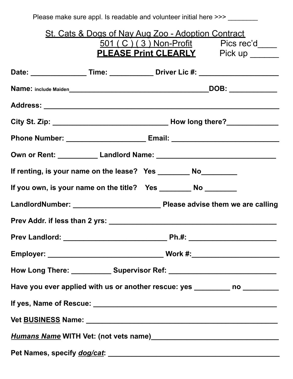| Please make sure appl. Is readable and volunteer initial here >>> 1, 2000, 2000  |                                                                                                                                                  |  |  |  |  |  |
|----------------------------------------------------------------------------------|--------------------------------------------------------------------------------------------------------------------------------------------------|--|--|--|--|--|
|                                                                                  | <u>St. Cats &amp; Dogs of Nay Aug Zoo - Adoption Contract</u><br>501 (C) (3) Non-Profit Pics rec'd<br><b>PLEASE Print CLEARLY</b> Pick up ______ |  |  |  |  |  |
| Date: ____________________Time: ______________Driver Lic #: ____________________ |                                                                                                                                                  |  |  |  |  |  |
|                                                                                  |                                                                                                                                                  |  |  |  |  |  |
|                                                                                  |                                                                                                                                                  |  |  |  |  |  |
|                                                                                  |                                                                                                                                                  |  |  |  |  |  |
| Phone Number: ________________________________Email: ___________________________ |                                                                                                                                                  |  |  |  |  |  |
|                                                                                  |                                                                                                                                                  |  |  |  |  |  |
| If renting, is your name on the lease? Yes ___________ No_________               |                                                                                                                                                  |  |  |  |  |  |
|                                                                                  |                                                                                                                                                  |  |  |  |  |  |
|                                                                                  |                                                                                                                                                  |  |  |  |  |  |
| Prev Addr. if less than 2 yrs:                                                   |                                                                                                                                                  |  |  |  |  |  |
|                                                                                  |                                                                                                                                                  |  |  |  |  |  |
|                                                                                  |                                                                                                                                                  |  |  |  |  |  |
| How Long There: _____________ Supervisor Ref: __________________________________ |                                                                                                                                                  |  |  |  |  |  |
| Have you ever applied with us or another rescue: yes ________ no ________        |                                                                                                                                                  |  |  |  |  |  |
|                                                                                  |                                                                                                                                                  |  |  |  |  |  |
|                                                                                  |                                                                                                                                                  |  |  |  |  |  |
|                                                                                  |                                                                                                                                                  |  |  |  |  |  |
|                                                                                  |                                                                                                                                                  |  |  |  |  |  |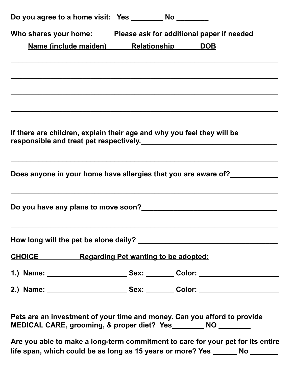| Who shares your home: Please ask for additional paper if needed<br>Name (include maiden) Relationship DOB                                    |  |  |
|----------------------------------------------------------------------------------------------------------------------------------------------|--|--|
|                                                                                                                                              |  |  |
|                                                                                                                                              |  |  |
|                                                                                                                                              |  |  |
|                                                                                                                                              |  |  |
|                                                                                                                                              |  |  |
| If there are children, explain their age and why you feel they will be                                                                       |  |  |
|                                                                                                                                              |  |  |
| Does anyone in your home have allergies that you are aware of?                                                                               |  |  |
|                                                                                                                                              |  |  |
| Do you have any plans to move soon?<br><u>Do you have any plans to move soon?</u>                                                            |  |  |
|                                                                                                                                              |  |  |
|                                                                                                                                              |  |  |
| <b>CHOICE</b> Regarding Pet wanting to be adopted:                                                                                           |  |  |
| 1.) Name: _______________________________Sex: __________ Color: ________________                                                             |  |  |
|                                                                                                                                              |  |  |
|                                                                                                                                              |  |  |
| Pets are an investment of your time and money. Can you afford to provide<br>MEDICAL CARE, grooming, & proper diet? Yes _________ NO ________ |  |  |

**Are you able to make a long-term commitment to care for your pet for its entire life span, which could be as long as 15 years or more? Yes \_\_\_\_\_\_ No \_\_\_\_\_\_\_**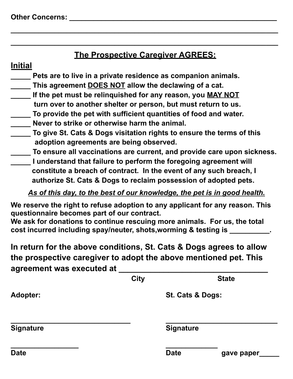## **The Prospective Caregiver AGREES:**

**\_\_\_\_\_\_\_\_\_\_\_\_\_\_\_\_\_\_\_\_\_\_\_\_\_\_\_\_\_\_\_\_\_\_\_\_\_\_\_\_\_\_\_\_\_\_\_\_\_\_\_\_\_\_\_\_\_\_\_\_\_\_\_\_\_\_\_**

**\_\_\_\_\_\_\_\_\_\_\_\_\_\_\_\_\_\_\_\_\_\_\_\_\_\_\_\_\_\_\_\_\_\_\_\_\_\_\_\_\_\_\_\_\_\_\_\_\_\_\_\_\_\_\_\_\_\_\_\_\_\_\_\_\_\_\_**

## **Initial**

- **\_\_\_\_\_ Pets are to live in a private residence as companion animals.**
- **\_\_\_\_\_ This agreement DOES NOT allow the declawing of a cat.**
- **\_\_\_\_\_ If the pet must be relinquished for any reason, you MAY NOT turn over to another shelter or person, but must return to us.**
- **\_\_\_\_\_ To provide the pet with sufficient quantities of food and water.**
- **\_\_\_\_\_ Never to strike or otherwise harm the animal.**
- **\_\_\_\_\_ To give St. Cats & Dogs visitation rights to ensure the terms of this adoption agreements are being observed.**
- **\_\_\_\_\_ To ensure all vaccinations are current, and provide care upon sickness.**
- **\_\_\_\_\_ I understand that failure to perform the foregoing agreement will constitute a breach of contract. In the event of any such breach, I authorize St. Cats & Dogs to reclaim possession of adopted pets.**

## *As of this day, to the best of our knowledge, the pet is in good health.*

**We reserve the right to refuse adoption to any applicant for any reason. This questionnaire becomes part of our contract.**

**We ask for donations to continue rescuing more animals. For us, the total cost incurred including spay/neuter, shots,worming & testing is \_\_\_\_\_\_\_\_\_\_.**

**In return for the above conditions, St. Cats & Dogs agrees to allow the prospective caregiver to adopt the above mentioned pet. This agreement was executed at \_\_\_\_\_\_\_\_\_\_\_\_\_\_\_\_\_\_\_\_\_\_\_\_\_\_\_\_\_\_\_\_\_**

|                  | <b>City</b> | <b>State</b>              |  |  |
|------------------|-------------|---------------------------|--|--|
| <b>Adopter:</b>  |             | St. Cats & Dogs:          |  |  |
| <b>Signature</b> |             | <b>Signature</b>          |  |  |
| <b>Date</b>      |             | <b>Date</b><br>gave paper |  |  |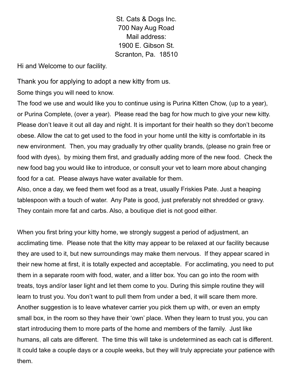St. Cats & Dogs Inc. 700 Nay Aug Road Mail address: 1900 E. Gibson St. Scranton, Pa. 18510

Hi and Welcome to our facility.

Thank you for applying to adopt a new kitty from us.

Some things you will need to know.

The food we use and would like you to continue using is Purina Kitten Chow, (up to a year), or Purina Complete, (over a year). Please read the bag for how much to give your new kitty. Please don't leave it out all day and night. It is important for their health so they don't become obese. Allow the cat to get used to the food in your home until the kitty is comfortable in its new environment. Then, you may gradually try other quality brands, (please no grain free or food with dyes), by mixing them first, and gradually adding more of the new food. Check the new food bag you would like to introduce, or consult your vet to learn more about changing food for a cat. Please always have water available for them.

Also, once a day, we feed them wet food as a treat, usually Friskies Pate. Just a heaping tablespoon with a touch of water. Any Pate is good, just preferably not shredded or gravy. They contain more fat and carbs. Also, a boutique diet is not good either.

When you first bring your kitty home, we strongly suggest a period of adjustment, an acclimating time. Please note that the kitty may appear to be relaxed at our facility because they are used to it, but new surroundings may make them nervous. If they appear scared in their new home at first, it is totally expected and acceptable. For acclimating, you need to put them in a separate room with food, water, and a litter box. You can go into the room with treats, toys and/or laser light and let them come to you. During this simple routine they will learn to trust you. You don't want to pull them from under a bed, it will scare them more. Another suggestion is to leave whatever carrier you pick them up with, or even an empty small box, in the room so they have their 'own' place. When they learn to trust you, you can start introducing them to more parts of the home and members of the family. Just like humans, all cats are different. The time this will take is undetermined as each cat is different. It could take a couple days or a couple weeks, but they will truly appreciate your patience with them.